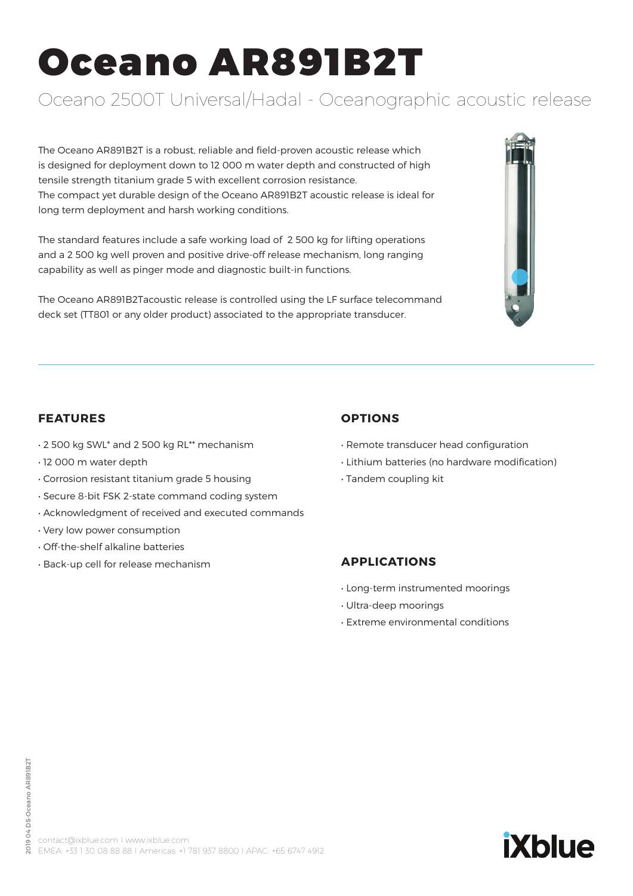# Oceano AR891B2T

# Oceano 2500T Universal/Hadal - Oceanographic acoustic release

The Oceano AR891B2T is a robust, reliable and field-proven acoustic release which is designed for deployment down to 12 000 m water depth and constructed of high tensile strength titanium grade 5 with excellent corrosion resistance. The compact yet durable design of the Oceano AR891B2T acoustic release is ideal for long term deployment and harsh working conditions.

The standard features include a safe working load of 2 500 kg for lifting operations and a 2 500 kg well proven and positive drive-off release mechanism, long ranging capability as well as pinger mode and diagnostic built-in functions.

The Oceano AR891B2Tacoustic release is controlled using the LF surface telecommand deck set (TT801 or any older product) associated to the appropriate transducer.



- 2 500 kg SWL\* and 2 500 kg RL\*\* mechanism
- 12 000 m water depth
- Corrosion resistant titanium grade 5 housing
- Secure 8-bit FSK 2-state command coding system
- Acknowledgment of received and executed commands
- Very low power consumption
- Off-the-shelf alkaline batteries
- Back-up cell for release mechanism

# **OPTIONS**

- Remote transducer head configuration
- Lithium batteries (no hardware modification)
- Tandem coupling kit

# **APPLICATIONS**

- Long-term instrumented moorings
- Ultra-deep moorings
- Extreme environmental conditions